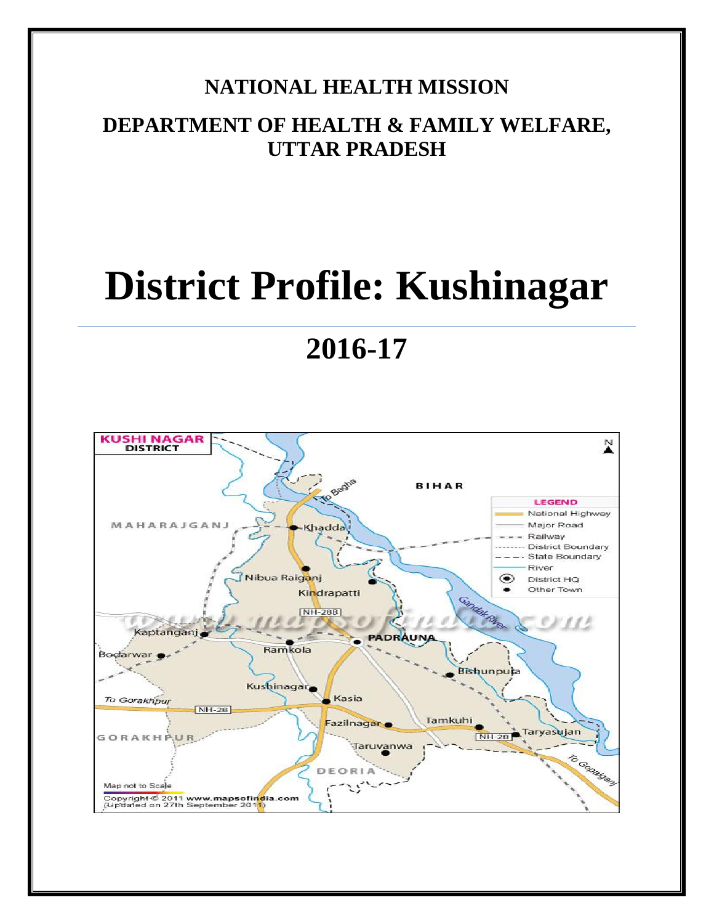# **NATIONAL HEALTH MISSION**

# **DEPARTMENT OF HEALTH & FAMILY WELFARE, UTTAR PRADESH**

# **District Profile: Kushinagar**

# **2016-17**

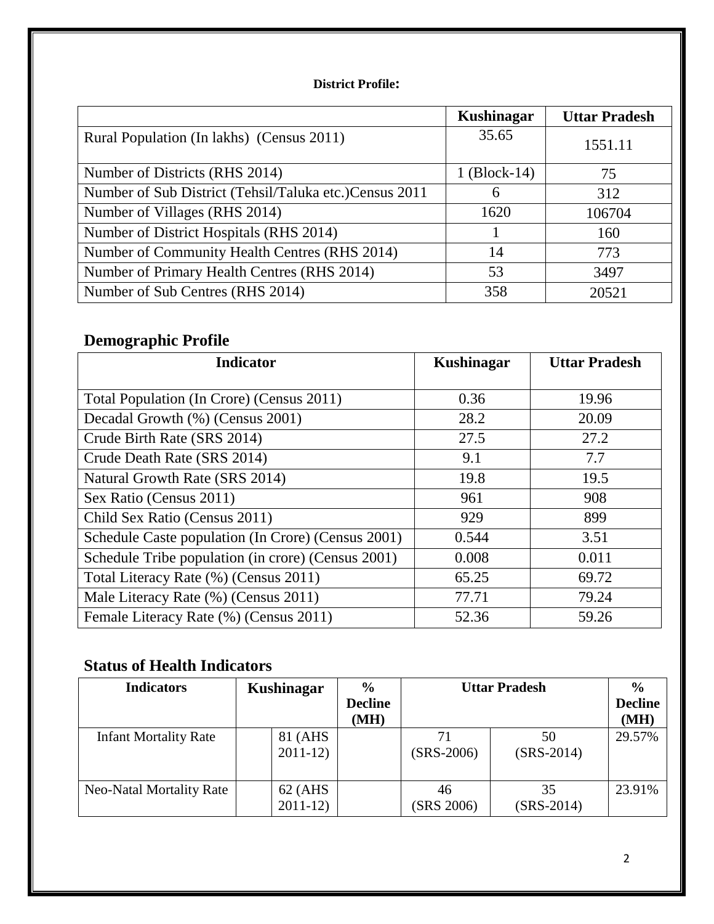#### **District Profile:**

|                                                         | Kushinagar   | <b>Uttar Pradesh</b> |
|---------------------------------------------------------|--------------|----------------------|
| Rural Population (In lakhs) (Census 2011)               | 35.65        | 1551.11              |
| Number of Districts (RHS 2014)                          | 1 (Block-14) | 75                   |
| Number of Sub District (Tehsil/Taluka etc.) Census 2011 | 6            | 312                  |
| Number of Villages (RHS 2014)                           | 1620         | 106704               |
| Number of District Hospitals (RHS 2014)                 |              | 160                  |
| Number of Community Health Centres (RHS 2014)           | 14           | 773                  |
| Number of Primary Health Centres (RHS 2014)             | 53           | 3497                 |
| Number of Sub Centres (RHS 2014)                        | 358          | 20521                |

# **Demographic Profile**

| <b>Indicator</b>                                   | Kushinagar | <b>Uttar Pradesh</b> |
|----------------------------------------------------|------------|----------------------|
|                                                    |            |                      |
| Total Population (In Crore) (Census 2011)          | 0.36       | 19.96                |
| Decadal Growth (%) (Census 2001)                   | 28.2       | 20.09                |
| Crude Birth Rate (SRS 2014)                        | 27.5       | 27.2                 |
| Crude Death Rate (SRS 2014)                        | 9.1        | 7.7                  |
| Natural Growth Rate (SRS 2014)                     | 19.8       | 19.5                 |
| Sex Ratio (Census 2011)                            | 961        | 908                  |
| Child Sex Ratio (Census 2011)                      | 929        | 899                  |
| Schedule Caste population (In Crore) (Census 2001) | 0.544      | 3.51                 |
| Schedule Tribe population (in crore) (Census 2001) | 0.008      | 0.011                |
| Total Literacy Rate (%) (Census 2011)              | 65.25      | 69.72                |
| Male Literacy Rate (%) (Census 2011)               | 77.71      | 79.24                |
| Female Literacy Rate (%) (Census 2011)             | 52.36      | 59.26                |

# **Status of Health Indicators**

| <b>Indicators</b>            | Kushinagar           | $\frac{0}{0}$          | <b>Uttar Pradesh</b> |                    | $\frac{6}{9}$          |
|------------------------------|----------------------|------------------------|----------------------|--------------------|------------------------|
|                              |                      | <b>Decline</b><br>(MH) |                      |                    | <b>Decline</b><br>(MH) |
| <b>Infant Mortality Rate</b> | 81 (AHS<br>$2011-12$ |                        | 71<br>$(SRS-2006)$   | 50<br>$(SRS-2014)$ | 29.57%                 |
| Neo-Natal Mortality Rate     | 62 (AHS<br>$2011-12$ |                        | 46<br>(SRS 2006)     | 35<br>$(SRS-2014)$ | 23.91%                 |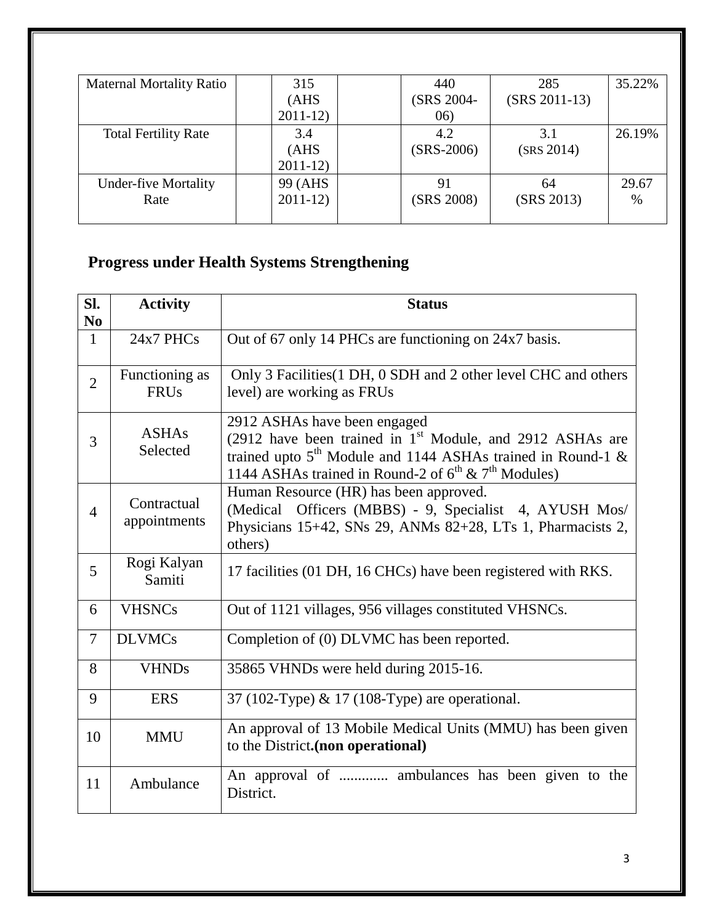| <b>Maternal Mortality Ratio</b> | 315       | 440          | 285                      | 35.22% |
|---------------------------------|-----------|--------------|--------------------------|--------|
|                                 | (AHS)     | (SRS 2004-   | $(SRS 2011-13)$          |        |
|                                 | $2011-12$ | (06)         |                          |        |
| <b>Total Fertility Rate</b>     | 3.4       | 4.2          | 3.1                      | 26.19% |
|                                 | (AHS)     | $(SRS-2006)$ | (SRS 2014)               |        |
|                                 | $2011-12$ |              |                          |        |
| <b>Under-five Mortality</b>     | 99 (AHS   | 91           | 64                       | 29.67  |
| Rate                            | $2011-12$ |              | (SRS 2008)<br>(SRS 2013) | $\%$   |
|                                 |           |              |                          |        |

# **Progress under Health Systems Strengthening**

| SI.<br>N <sub>0</sub> | <b>Activity</b>               | <b>Status</b>                                                                                                                                                                                                                 |
|-----------------------|-------------------------------|-------------------------------------------------------------------------------------------------------------------------------------------------------------------------------------------------------------------------------|
| $\mathbf{1}$          | $24x7$ PHCs                   | Out of 67 only 14 PHCs are functioning on 24x7 basis.                                                                                                                                                                         |
| $\overline{2}$        | Functioning as<br><b>FRUs</b> | Only 3 Facilities (1 DH, 0 SDH and 2 other level CHC and others<br>level) are working as FRUs                                                                                                                                 |
| 3                     | <b>ASHAs</b><br>Selected      | 2912 ASHAs have been engaged<br>(2912 have been trained in $1st$ Module, and 2912 ASHAs are<br>trained upto $5th$ Module and 1144 ASHAs trained in Round-1 &<br>1144 ASHAs trained in Round-2 of $6^{th}$ & $7^{th}$ Modules) |
| $\overline{4}$        | Contractual<br>appointments   | Human Resource (HR) has been approved.<br>(Medical Officers (MBBS) - 9, Specialist 4, AYUSH Mos/<br>Physicians 15+42, SNs 29, ANMs 82+28, LTs 1, Pharmacists 2,<br>others)                                                    |
| 5                     | Rogi Kalyan<br>Samiti         | 17 facilities (01 DH, 16 CHCs) have been registered with RKS.                                                                                                                                                                 |
| 6                     | <b>VHSNCs</b>                 | Out of 1121 villages, 956 villages constituted VHSNCs.                                                                                                                                                                        |
| 7                     | <b>DLVMCs</b>                 | Completion of (0) DLVMC has been reported.                                                                                                                                                                                    |
| 8                     | <b>VHNDs</b>                  | 35865 VHNDs were held during 2015-16.                                                                                                                                                                                         |
| 9                     | <b>ERS</b>                    | 37 (102-Type) & 17 (108-Type) are operational.                                                                                                                                                                                |
| 10                    | <b>MMU</b>                    | An approval of 13 Mobile Medical Units (MMU) has been given<br>to the District.(non operational)                                                                                                                              |
| 11                    | Ambulance                     | An approval of  ambulances has been given to the<br>District.                                                                                                                                                                 |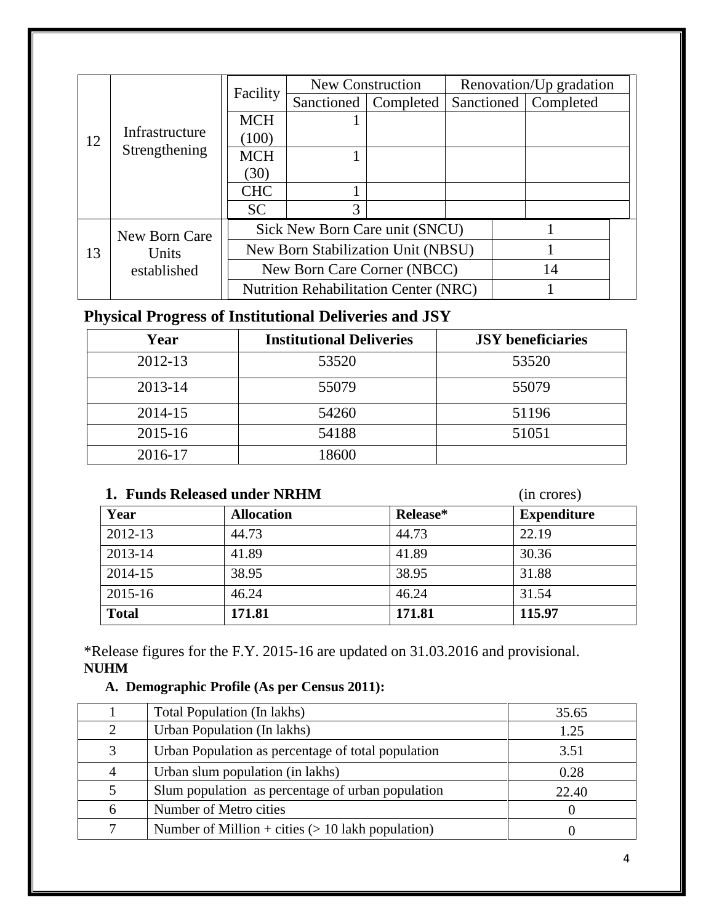|    |                                            |            | New Construction                             |           | Renovation/Up gradation |                        |  |
|----|--------------------------------------------|------------|----------------------------------------------|-----------|-------------------------|------------------------|--|
|    |                                            | Facility   | Sanctioned                                   | Completed |                         | Sanctioned   Completed |  |
|    |                                            | <b>MCH</b> |                                              |           |                         |                        |  |
| 12 | Infrastructure                             | (100)      |                                              |           |                         |                        |  |
|    | Strengthening                              | <b>MCH</b> |                                              |           |                         |                        |  |
|    |                                            | (30)       |                                              |           |                         |                        |  |
|    |                                            | <b>CHC</b> |                                              |           |                         |                        |  |
|    |                                            | <b>SC</b>  | 3                                            |           |                         |                        |  |
|    | New Born Care                              |            | Sick New Born Care unit (SNCU)               |           |                         |                        |  |
| 13 | Units                                      |            | New Born Stabilization Unit (NBSU)           |           |                         |                        |  |
|    | New Born Care Corner (NBCC)<br>established |            |                                              |           | 14                      |                        |  |
|    |                                            |            | <b>Nutrition Rehabilitation Center (NRC)</b> |           |                         |                        |  |

## **Physical Progress of Institutional Deliveries and JSY**

| Year    | <b>Institutional Deliveries</b> | <b>JSY</b> beneficiaries |
|---------|---------------------------------|--------------------------|
| 2012-13 | 53520                           | 53520                    |
| 2013-14 | 55079                           | 55079                    |
| 2014-15 | 54260                           | 51196                    |
| 2015-16 | 54188                           | 51051                    |
| 2016-17 | 18600                           |                          |

#### **1. Funds Released under NRHM** (in crores)

| Year         | <b>Allocation</b> | Release* | <b>Expenditure</b> |
|--------------|-------------------|----------|--------------------|
| 2012-13      | 44.73             | 44.73    | 22.19              |
| 2013-14      | 41.89             | 41.89    | 30.36              |
| 2014-15      | 38.95             | 38.95    | 31.88              |
| $2015 - 16$  | 46.24             | 46.24    | 31.54              |
| <b>Total</b> | 171.81            | 171.81   | 115.97             |

\*Release figures for the F.Y. 2015-16 are updated on 31.03.2016 and provisional. **NUHM** 

#### **A. Demographic Profile (As per Census 2011):**

|                | Total Population (In lakhs)                         | 35.65 |
|----------------|-----------------------------------------------------|-------|
| $\overline{2}$ | Urban Population (In lakhs)                         | 1.25  |
| 3              | Urban Population as percentage of total population  | 3.51  |
| 4              | Urban slum population (in lakhs)                    | 0.28  |
| 5              | Slum population as percentage of urban population   | 22.40 |
| 6              | Number of Metro cities                              |       |
| 7              | Number of Million + cities $(> 10$ lakh population) |       |